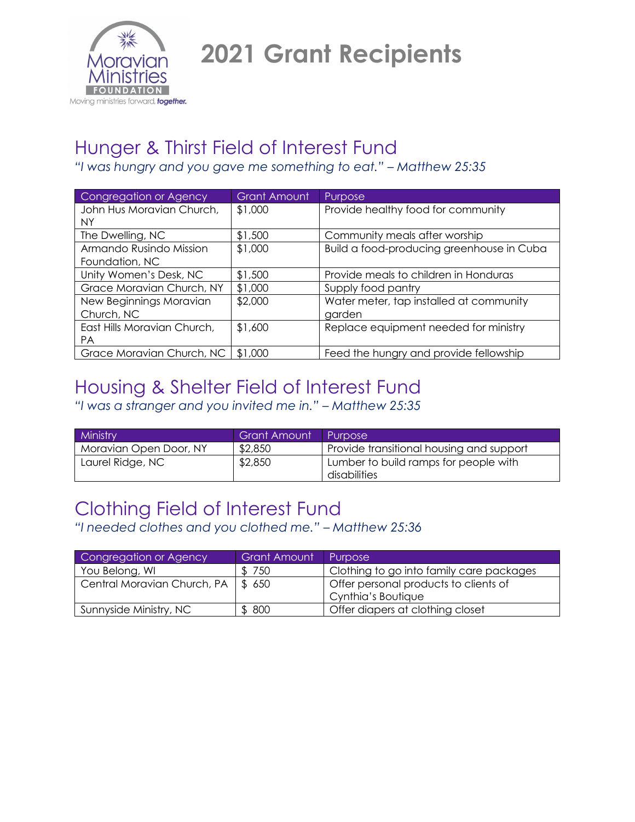

**2021 Grant Recipients**

#### Hunger & Thirst Field of Interest Fund

*"I was hungry and you gave me something to eat." – Matthew 25:35*

| <b>Congregation or Agency</b> | <b>Grant Amount</b> | Purpose                                   |
|-------------------------------|---------------------|-------------------------------------------|
| John Hus Moravian Church,     | \$1,000             | Provide healthy food for community        |
| NY.                           |                     |                                           |
| The Dwelling, NC              | \$1,500             | Community meals after worship             |
| Armando Rusindo Mission       | \$1,000             | Build a food-producing greenhouse in Cuba |
| Foundation, NC                |                     |                                           |
| Unity Women's Desk, NC        | \$1,500             | Provide meals to children in Honduras     |
| Grace Moravian Church, NY     | \$1,000             | Supply food pantry                        |
| New Beginnings Moravian       | \$2,000             | Water meter, tap installed at community   |
| Church, NC                    |                     | garden                                    |
| East Hills Moravian Church,   | \$1,600             | Replace equipment needed for ministry     |
| <b>PA</b>                     |                     |                                           |
| Grace Moravian Church, NC     | \$1,000             | Feed the hungry and provide fellowship    |

### Housing & Shelter Field of Interest Fund

*"I was a stranger and you invited me in." – Matthew 25:35*

| Ministry               | <b>Grant Amount</b> | Purpose                                               |
|------------------------|---------------------|-------------------------------------------------------|
| Moravian Open Door, NY | \$2,850             | Provide transitional housing and support              |
| Laurel Ridge, NC       | \$2,850             | Lumber to build ramps for people with<br>disabilities |

# Clothing Field of Interest Fund

*"I needed clothes and you clothed me." – Matthew 25:36*

| Congregation or Agency               | <b>Grant Amount</b> | Purpose                                                     |
|--------------------------------------|---------------------|-------------------------------------------------------------|
| You Belong, WI                       | 750                 | Clothing to go into family care packages                    |
| Central Moravian Church, PA   \$ 650 |                     | Offer personal products to clients of<br>Cynthia's Boutique |
| Sunnyside Ministry, NC               | \$800               | Offer diapers at clothing closet                            |